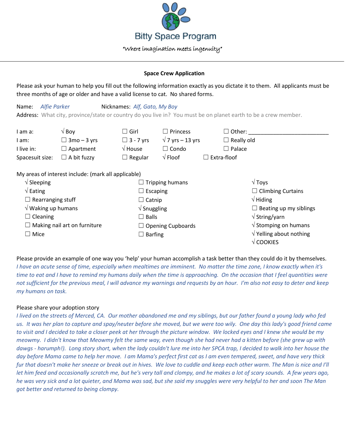

### **Space Crew Application**

Please ask your human to help you fill out the following information exactly as you dictate it to them. All applicants must be three months of age or older and have a valid license to cat. No shared forms.

| Name:                               | Alfie Parker                                        | Nicknames: Alf, Gato, My Boy   |                          |                                                                                                                |
|-------------------------------------|-----------------------------------------------------|--------------------------------|--------------------------|----------------------------------------------------------------------------------------------------------------|
|                                     |                                                     |                                |                          | Address: What city, province/state or country do you live in? You must be on planet earth to be a crew member. |
| I am a:                             | $\sqrt{$ Boy                                        | $\Box$ Girl                    | $\square$ Princess       | $\Box$ Other:                                                                                                  |
| I am:                               | $\Box$ 3mo – 3 yrs                                  | $\Box$ 3 - 7 yrs               | $\sqrt{7}$ yrs – 13 yrs  | $\Box$ Really old                                                                                              |
| I live in:                          | $\Box$ Apartment                                    | $\sqrt{}$ House                | $\Box$ Condo             | $\Box$ Palace                                                                                                  |
| Spacesuit size:                     | $\Box$ A bit fuzzy                                  | $\Box$ Regular                 | $\sqrt{}$ Floof          | $\Box$ Extra-floof                                                                                             |
|                                     | My areas of interest include: (mark all applicable) |                                |                          |                                                                                                                |
| $\sqrt{\frac{1}{2}}$ Sleeping       |                                                     |                                | <b>Tripping humans</b>   | $\sqrt{T}$ oys                                                                                                 |
| $\sqrt{\mathsf{Eating}}$            |                                                     | $\Box$ Escaping                |                          | $\Box$ Climbing Curtains                                                                                       |
| $\Box$ Rearranging stuff            |                                                     | $\Box$ Catnip                  |                          | $\sqrt{}$ Hiding                                                                                               |
| $\sqrt{}$ Waking up humans          |                                                     | $\sqrt{\frac{1}{2}}$ Snuggling |                          | $\Box$ Beating up my siblings                                                                                  |
| $\Box$ Cleaning                     |                                                     | $\Box$ Balls                   |                          | $\sqrt{\mathsf{String}/\mathsf{yarn}}$                                                                         |
| $\Box$ Making nail art on furniture |                                                     |                                | $\Box$ Opening Cupboards | $\sqrt{\frac{1}{10}}$ Stomping on humans                                                                       |
| $\Box$ Mice                         |                                                     | $\Box$ Barfing                 |                          | $\sqrt{}$ Yelling about nothing<br>$\sqrt{\text{COOKIES}}$                                                     |

Please provide an example of one way you 'help' your human accomplish a task better than they could do it by themselves. *I have an acute sense of time, especially when mealtimes are imminent. No matter the time zone, I know exactly when it's time to eat and I have to remind my humans daily when the time is approaching. On the occasion that I feel quantities were not sufficient for the previous meal, I will advance my warnings and requests by an hour. I'm also not easy to deter and keep my humans on task.*

# Please share your adoption story

*I lived on the streets of Merced, CA. Our mother abandoned me and my siblings, but our father found a young lady who fed us. It was her plan to capture and spay/neuter before she moved, but we were too wily. One day this lady's good friend came to visit and I decided to take a closer peek at her through the picture window. We locked eyes and I knew she would be my meowmy. I didn't know that Meowmy felt the same way, even though she had never had a kitten before (she grew up with dawgs - harumph!). Long story short, when the lady couldn't lure me into her SPCA trap, I decided to walk into her house the day before Mama came to help her move. I am Mama's perfect first cat as I am even tempered, sweet, and have very thick fur that doesn't make her sneeze or break out in hives. We love to cuddle and keep each other warm. The Man is nice and I'll let him feed and occasionally scratch me, but he's very tall and clompy, and he makes a lot of scary sounds. A few years ago, he was very sick and a lot quieter, and Mama was sad, but she said my snuggles were very helpful to her and soon The Man got better and returned to being clompy.*